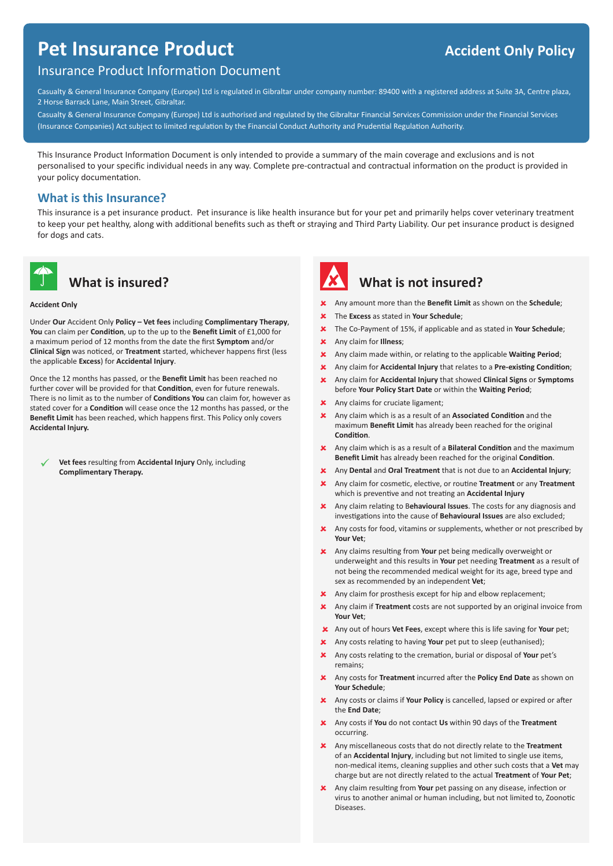# **Pet Insurance Product Accident Only Policy**

#### Insurance Product Information Document

Casualty & General Insurance Company (Europe) Ltd is regulated in Gibraltar under company number: 89400 with a registered address at Suite 3A, Centre plaza, 2 Horse Barrack Lane, Main Street, Gibraltar.

Casualty & General Insurance Company (Europe) Ltd is authorised and regulated by the Gibraltar Financial Services Commission under the Financial Services (Insurance Companies) Act subject to limited regulation by the Financial Conduct Authority and Prudential Regulation Authority.

This Insurance Product Information Document is only intended to provide a summary of the main coverage and exclusions and is not personalised to your specific individual needs in any way. Complete pre-contractual and contractual information on the product is provided in your policy documentation.

#### **What is this Insurance?**

This insurance is a pet insurance product. Pet insurance is like health insurance but for your pet and primarily helps cover veterinary treatment to keep your pet healthy, along with additional benefits such as theft or straying and Third Party Liability. Our pet insurance product is designed for dogs and cats.



### **What is insured?**

#### **Accident Only**

Under **Our** Accident Only **Policy – Vet fees** including **Complimentary Therapy**, **You** can claim per **Condition**, up to the up to the **Benefit Limit** of £1,000 for a maximum period of 12 months from the date the first **Symptom** and/or **Clinical Sign** was noticed, or **Treatment** started, whichever happens first (less the applicable **Excess**) for **Accidental Injury**.

Once the 12 months has passed, or the **Benefit Limit** has been reached no further cover will be provided for that **Condition**, even for future renewals. There is no limit as to the number of **Conditions You** can claim for, however as stated cover for a **Condition** will cease once the 12 months has passed, or the **Benefit Limit** has been reached, which happens first. This Policy only covers **Accidental Injury.**

**Vet fees** resulting from **Accidental Injury** Only, including **Complimentary Therapy.**



## **What is not insured?**

- Any amount more than the **Benefit Limit** as shown on the **Schedule**;
- The **Excess** as stated in **Your Schedule**;
- The Co-Payment of 15%, if applicable and as stated in **Your Schedule**;
- $\overline{\mathbf{x}}$ Any claim for **Illness**;
- $\overline{\mathbf{x}}$ Any claim made within, or relating to the applicable **Waiting Period**;
- Any claim for **Accidental Injury** that relates to a **Pre-existing Condition**;
- Any claim for **Accidental Injury** that showed **Clinical Signs** or **Symptoms** before **Your Policy Start Date** or within the **Waiting Period**;
- **x** Any claims for cruciate ligament;
- Any claim which is as a result of an **Associated Condition** and the maximum **Benefit Limit** has already been reached for the original **Condition**.
- Any claim which is as a result of a **Bilateral Condition** and the maximum **Benefit Limit** has already been reached for the original **Condition**.
- Any **Dental** and **Oral Treatment** that is not due to an **Accidental Injury**;
- Any claim for cosmetic, elective, or routine **Treatment** or any **Treatment** which is preventive and not treating an **Accidental Injury**
- Any claim relating to B**ehavioural Issues**. The costs for any diagnosis and investigations into the cause of **Behavioural Issues** are also excluded;
- **X** Any costs for food, vitamins or supplements, whether or not prescribed by **Your Vet**;
- Any claims resulting from **Your** pet being medically overweight or underweight and this results in **Your** pet needing **Treatment** as a result of not being the recommended medical weight for its age, breed type and sex as recommended by an independent **Vet**;
- **x** Any claim for prosthesis except for hip and elbow replacement;
- Any claim if **Treatment** costs are not supported by an original invoice from **Your Vet**;
- Any out of hours **Vet Fees**, except where this is life saving for **Your** pet;
- Any costs relating to having **Your** pet put to sleep (euthanised);
- Any costs relating to the cremation, burial or disposal of **Your** pet's remains;
- Any costs for **Treatment** incurred after the **Policy End Date** as shown on **Your Schedule**;
- Any costs or claims if **Your Policy** is cancelled, lapsed or expired or after the **End Date**;
- Any costs if **You** do not contact **Us** within 90 days of the **Treatment** occurring.
- Any miscellaneous costs that do not directly relate to the **Treatment** of an **Accidental Injury**, including but not limited to single use items, non-medical items, cleaning supplies and other such costs that a **Vet** may charge but are not directly related to the actual **Treatment** of **Your Pet**;
- Any claim resulting from **Your** pet passing on any disease, infection or virus to another animal or human including, but not limited to, Zoonotic Diseases.